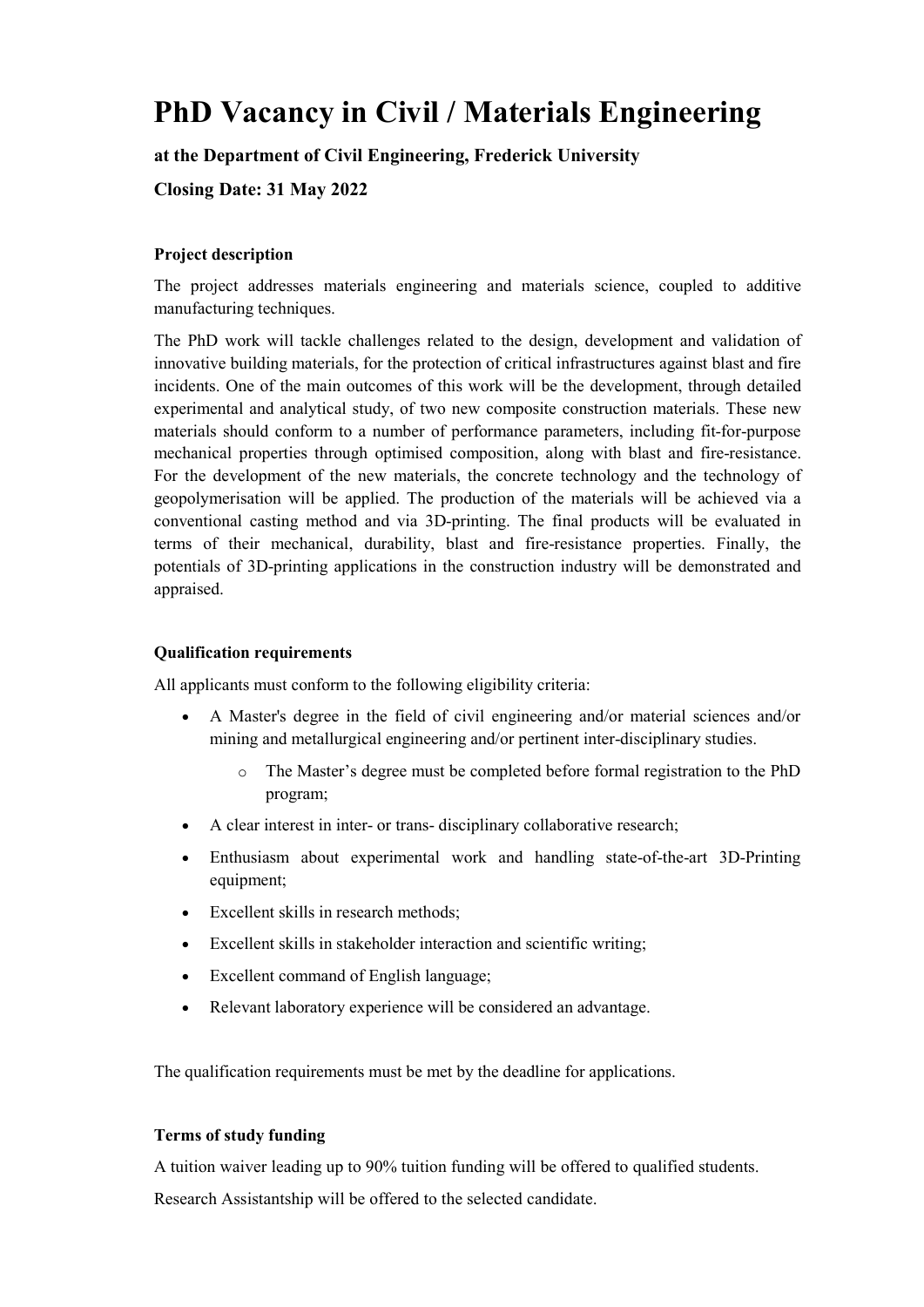# PhD Vacancy in Civil / Materials Engineering

# at the Department of Civil Engineering, Frederick University

Closing Date: 3**1 May** 2022

# Project description

The project addresses materials engineering and materials science, coupled to additive manufacturing techniques.

The PhD work will tackle challenges related to the design, development and validation of innovative building materials, for the protection of critical infrastructures against blast and fire incidents. One of the main outcomes of this work will be the development, through detailed experimental and analytical study, of two new composite construction materials. These new materials should conform to a number of performance parameters, including fit-for-purpose mechanical properties through optimised composition, along with blast and fire-resistance. For the development of the new materials, the concrete technology and the technology of geopolymerisation will be applied. The production of the materials will be achieved via a conventional casting method and via 3D-printing. The final products will be evaluated in terms of their mechanical, durability, blast and fire-resistance properties. Finally, the potentials of 3D-printing applications in the construction industry will be demonstrated and appraised.

#### Qualification requirements

All applicants must conform to the following eligibility criteria:

- A Master's degree in the field of civil engineering and/or material sciences and/or mining and metallurgical engineering and/or pertinent inter-disciplinary studies.
	- o The Master's degree must be completed before formal registration to the PhD program;
- A clear interest in inter- or trans- disciplinary collaborative research;
- Enthusiasm about experimental work and handling state-of-the-art 3D-Printing equipment;
- Excellent skills in research methods:
- Excellent skills in stakeholder interaction and scientific writing;
- Excellent command of English language;
- Relevant laboratory experience will be considered an advantage.

The qualification requirements must be met by the deadline for applications.

## Terms of study funding

A tuition waiver leading up to 90% tuition funding will be offered to qualified students.

Research Assistantship will be offered to the selected candidate.